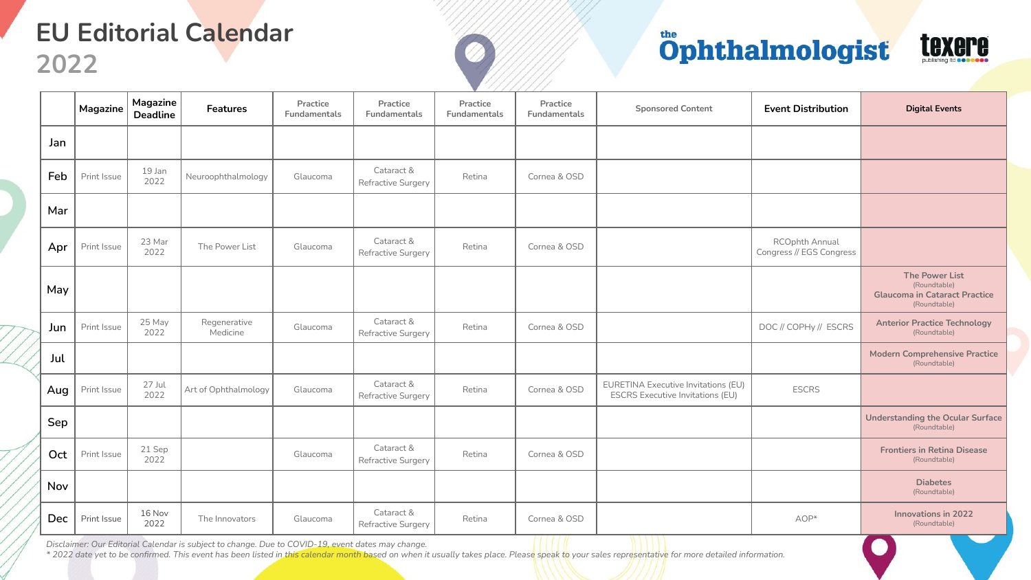## **EU Editorial Calendar**

**2022**

## Öphthalmologist



|     | Magazine    | Magazine<br><b>Deadline</b> | <b>Features</b>          | Practice<br>Fundamentals | Practice<br>Fundamentals         | Practice<br>Fundamentals | Practice<br>Fundamentals | <b>Sponsored Content</b>                                                       | <b>Event Distribution</b>                  | <b>Digital Events</b>                                                                         |
|-----|-------------|-----------------------------|--------------------------|--------------------------|----------------------------------|--------------------------|--------------------------|--------------------------------------------------------------------------------|--------------------------------------------|-----------------------------------------------------------------------------------------------|
| Jan |             |                             |                          |                          |                                  |                          |                          |                                                                                |                                            |                                                                                               |
| Feb | Print Issue | 19 Jan<br>2022              | Neuroophthalmology       | Glaucoma                 | Cataract &<br>Refractive Surgery | Retina                   | Cornea & OSD             |                                                                                |                                            |                                                                                               |
| Mar |             |                             |                          |                          |                                  |                          |                          |                                                                                |                                            |                                                                                               |
| Apr | Print Issue | 23 Mar<br>2022              | The Power List           | Glaucoma                 | Cataract &<br>Refractive Surgery | Retina                   | Cornea & OSD             |                                                                                | RCOphth Annual<br>Congress // EGS Congress |                                                                                               |
| May |             |                             |                          |                          |                                  |                          |                          |                                                                                |                                            | <b>The Power List</b><br>(Roundtable)<br><b>Glaucoma in Cataract Practice</b><br>(Roundtable) |
| Jun | Print Issue | 25 May<br>2022              | Regenerative<br>Medicine | Glaucoma                 | Cataract &<br>Refractive Surgery | Retina                   | Cornea & OSD             |                                                                                | DOC // COPHy // ESCRS                      | <b>Anterior Practice Technology</b><br>(Roundtable)                                           |
| Jul |             |                             |                          |                          |                                  |                          |                          |                                                                                |                                            | <b>Modern Comprehensive Practice</b><br>(Roundtable)                                          |
| Aug | Print Issue | 27 Jul<br>2022              | Art of Ophthalmology     | Glaucoma                 | Cataract &<br>Refractive Surgery | Retina                   | Cornea & OSD             | EURETINA Executive Invitations (EU)<br><b>ESCRS Executive Invitations (EU)</b> | <b>ESCRS</b>                               |                                                                                               |
| Sep |             |                             |                          |                          |                                  |                          |                          |                                                                                |                                            | <b>Understanding the Ocular Surface</b><br>(Roundtable)                                       |
| Oct | Print Issue | 21 Sep<br>2022              |                          | Glaucoma                 | Cataract &<br>Refractive Surgery | Retina                   | Cornea & OSD             |                                                                                |                                            | <b>Frontiers in Retina Disease</b><br>(Roundtable)                                            |
| Nov |             |                             |                          |                          |                                  |                          |                          |                                                                                |                                            | <b>Diabetes</b><br>(Roundtable)                                                               |
| Dec | Print Issue | 16 Nov<br>2022              | The Innovators           | Glaucoma                 | Cataract &<br>Refractive Surgery | Retina                   | Cornea & OSD             |                                                                                | AOP*                                       | <b>Innovations in 2022</b><br>(Roundtable)                                                    |

*Disclaimer: Our Editorial Calendar is subject to change. Due to COVID-19, event dates may change.*

*\* 2022 date yet to be confirmed. This event has been listed in this calendar month based on when it usually takes place. Please speak to your sales representative for more detailed information.*